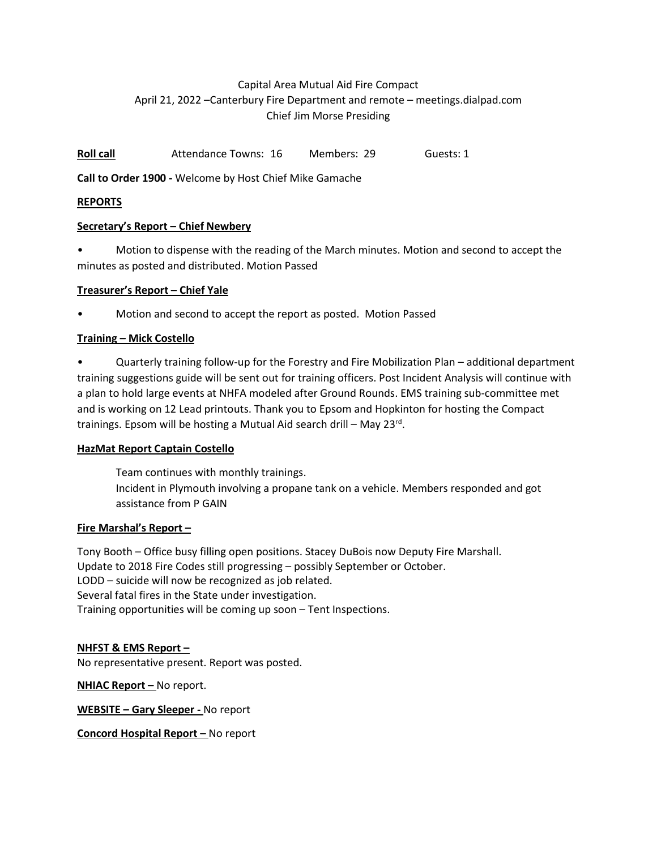# Capital Area Mutual Aid Fire Compact April 21, 2022 –Canterbury Fire Department and remote – meetings.dialpad.com Chief Jim Morse Presiding

Roll call **Roll call** Attendance Towns: 16 Members: 29 Guests: 1

Call to Order 1900 - Welcome by Host Chief Mike Gamache

### REPORTS

### Secretary's Report – Chief Newbery

• Motion to dispense with the reading of the March minutes. Motion and second to accept the minutes as posted and distributed. Motion Passed

### Treasurer's Report – Chief Yale

• Motion and second to accept the report as posted. Motion Passed

# Training – Mick Costello

• Quarterly training follow-up for the Forestry and Fire Mobilization Plan – additional department training suggestions guide will be sent out for training officers. Post Incident Analysis will continue with a plan to hold large events at NHFA modeled after Ground Rounds. EMS training sub-committee met and is working on 12 Lead printouts. Thank you to Epsom and Hopkinton for hosting the Compact trainings. Epsom will be hosting a Mutual Aid search drill – May 23<sup>rd</sup>.

### HazMat Report Captain Costello

Team continues with monthly trainings. Incident in Plymouth involving a propane tank on a vehicle. Members responded and got assistance from P GAIN

### Fire Marshal's Report –

Tony Booth – Office busy filling open positions. Stacey DuBois now Deputy Fire Marshall. Update to 2018 Fire Codes still progressing – possibly September or October. LODD – suicide will now be recognized as job related. Several fatal fires in the State under investigation. Training opportunities will be coming up soon – Tent Inspections.

### NHFST & EMS Report –

No representative present. Report was posted.

NHIAC Report - No report.

WEBSITE – Gary Sleeper - No report

Concord Hospital Report – No report